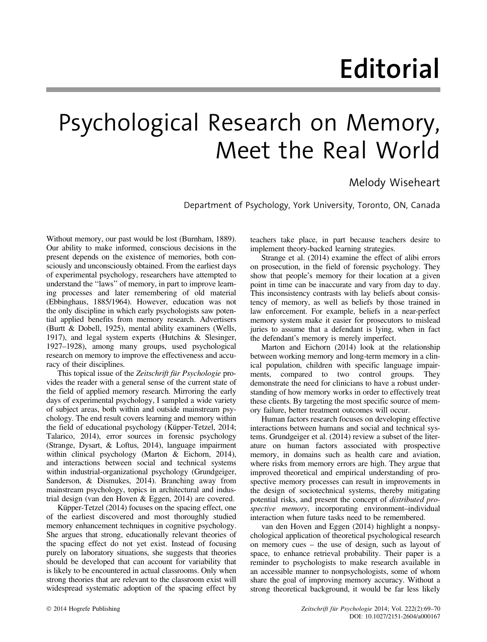## Editorial

## Psychological Research on Memory, Meet the Real World

## Melody Wiseheart

Department of Psychology, York University, Toronto, ON, Canada

Without memory, our past would be lost (Burnham, 1889). Our ability to make informed, conscious decisions in the present depends on the existence of memories, both consciously and unconsciously obtained. From the earliest days of experimental psychology, researchers have attempted to understand the ''laws'' of memory, in part to improve learning processes and later remembering of old material (Ebbinghaus, 1885/1964). However, education was not the only discipline in which early psychologists saw potential applied benefits from memory research. Advertisers (Burtt & Dobell, 1925), mental ability examiners (Wells, 1917), and legal system experts (Hutchins & Slesinger, 1927–1928), among many groups, used psychological research on memory to improve the effectiveness and accuracy of their disciplines.

This topical issue of the Zeitschrift für Psychologie provides the reader with a general sense of the current state of the field of applied memory research. Mirroring the early days of experimental psychology, I sampled a wide variety of subject areas, both within and outside mainstream psychology. The end result covers learning and memory within the field of educational psychology (Küpper-Tetzel, 2014; Talarico, 2014), error sources in forensic psychology (Strange, Dysart, & Loftus, 2014), language impairment within clinical psychology (Marton & Eichorn, 2014), and interactions between social and technical systems within industrial-organizational psychology (Grundgeiger, Sanderson, & Dismukes, 2014). Branching away from mainstream psychology, topics in architectural and industrial design (van den Hoven & Eggen, 2014) are covered.

Küpper-Tetzel (2014) focuses on the spacing effect, one of the earliest discovered and most thoroughly studied memory enhancement techniques in cognitive psychology. She argues that strong, educationally relevant theories of the spacing effect do not yet exist. Instead of focusing purely on laboratory situations, she suggests that theories should be developed that can account for variability that is likely to be encountered in actual classrooms. Only when strong theories that are relevant to the classroom exist will widespread systematic adoption of the spacing effect by

teachers take place, in part because teachers desire to implement theory-backed learning strategies.

Strange et al. (2014) examine the effect of alibi errors on prosecution, in the field of forensic psychology. They show that people's memory for their location at a given point in time can be inaccurate and vary from day to day. This inconsistency contrasts with lay beliefs about consistency of memory, as well as beliefs by those trained in law enforcement. For example, beliefs in a near-perfect memory system make it easier for prosecutors to mislead juries to assume that a defendant is lying, when in fact the defendant's memory is merely imperfect.

Marton and Eichorn (2014) look at the relationship between working memory and long-term memory in a clinical population, children with specific language impairments, compared to two control groups. They demonstrate the need for clinicians to have a robust understanding of how memory works in order to effectively treat these clients. By targeting the most specific source of memory failure, better treatment outcomes will occur.

Human factors research focuses on developing effective interactions between humans and social and technical systems. Grundgeiger et al. (2014) review a subset of the literature on human factors associated with prospective memory, in domains such as health care and aviation, where risks from memory errors are high. They argue that improved theoretical and empirical understanding of prospective memory processes can result in improvements in the design of sociotechnical systems, thereby mitigating potential risks, and present the concept of distributed prospective memory, incorporating environment–individual interaction when future tasks need to be remembered.

van den Hoven and Eggen (2014) highlight a nonpsychological application of theoretical psychological research on memory cues – the use of design, such as layout of space, to enhance retrieval probability. Their paper is a reminder to psychologists to make research available in an accessible manner to nonpsychologists, some of whom share the goal of improving memory accuracy. Without a strong theoretical background, it would be far less likely